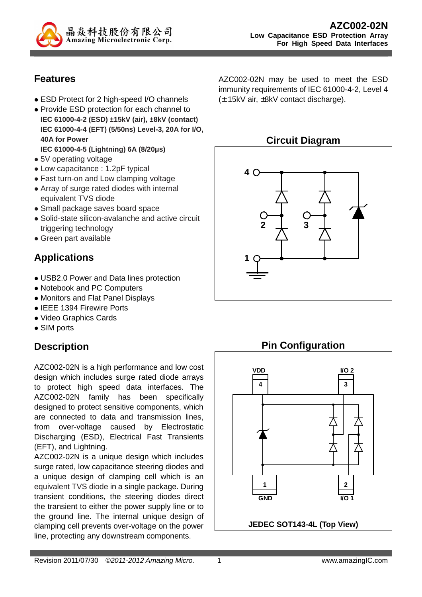

## **Features**

- ESD Protect for 2 high-speed I/O channels
- Provide ESD protection for each channel to **IEC 61000-4-2 (ESD) ±15kV (air), ±8kV (contact) IEC 61000-4-4 (EFT) (5/50ns) Level-3, 20A for I/O, 40A for Power**
- **IEC 61000-4-5 (Lightning) 6A (8/20µs)**
- 5V operating voltage
- Low capacitance : 1.2pF typical
- Fast turn-on and Low clamping voltage
- Array of surge rated diodes with internal equivalent TVS diode
- Small package saves board space
- Solid-state silicon-avalanche and active circuit triggering technology
- Green part available

# **Applications**

- USB2.0 Power and Data lines protection
- Notebook and PC Computers
- Monitors and Flat Panel Displays
- IEEE 1394 Firewire Ports
- Video Graphics Cards
- SIM ports

## **Description**

AZC002-02N is a high performance and low cost design which includes surge rated diode arrays to protect high speed data interfaces. The AZC002-02N family has been specifically designed to protect sensitive components, which are connected to data and transmission lines, from over-voltage caused by Electrostatic Discharging (ESD), Electrical Fast Transients (EFT), and Lightning.

AZC002-02N is a unique design which includes surge rated, low capacitance steering diodes and a unique design of clamping cell which is an equivalent TVS diode in a single package. During transient conditions, the steering diodes direct the transient to either the power supply line or to the ground line. The internal unique design of clamping cell prevents over-voltage on the power line, protecting any downstream components.

AZC002-02N may be used to meet the ESD immunity requirements of IEC 61000-4-2, Level 4 (± 15kV air, ±8kV contact discharge).

## **Circuit Diagram**



# **Pin Configuration**

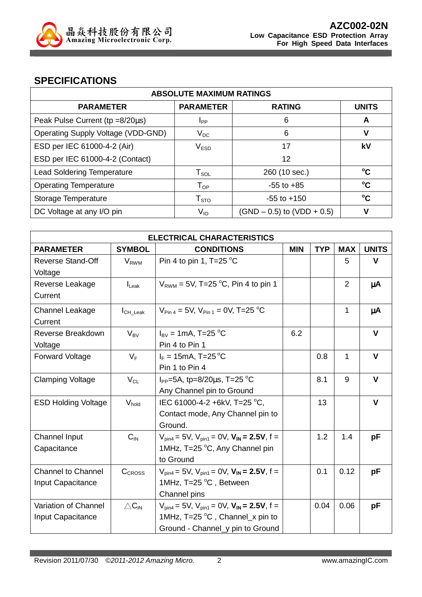

## **SPECIFICATIONS**

| <b>ABSOLUTE MAXIMUM RATINGS</b>    |                                |                                |              |
|------------------------------------|--------------------------------|--------------------------------|--------------|
| <b>PARAMETER</b>                   | <b>PARAMETER</b>               | <b>RATING</b>                  | <b>UNITS</b> |
| Peak Pulse Current (tp =8/20µs)    | <b>I</b> pp                    | 6                              | A            |
| Operating Supply Voltage (VDD-GND) | $V_{DC}$                       | 6                              | v            |
| ESD per IEC 61000-4-2 (Air)        | V <sub>ESD</sub>               | 17                             | kV           |
| ESD per IEC 61000-4-2 (Contact)    |                                | 12                             |              |
| <b>Lead Soldering Temperature</b>  | ${\mathsf T}_{\text{\rm SOL}}$ | 260 (10 sec.)                  | °C           |
| <b>Operating Temperature</b>       | $\mathsf{T}_{\mathsf{OP}}$     | $-55$ to $+85$                 | °C           |
| Storage Temperature                | ${\sf T}_{\text{STO}}$         | $-55$ to $+150$                | °C           |
| DC Voltage at any I/O pin          | V <sub>IO</sub>                | $(SND - 0.5)$ to $(VDD + 0.5)$ | v            |

| <b>ELECTRICAL CHARACTERISTICS</b> |                         |                                                                                |                          |      |                |              |
|-----------------------------------|-------------------------|--------------------------------------------------------------------------------|--------------------------|------|----------------|--------------|
| <b>PARAMETER</b>                  | <b>SYMBOL</b>           | <b>CONDITIONS</b>                                                              | <b>MIN</b><br><b>TYP</b> |      | <b>MAX</b>     | <b>UNITS</b> |
| <b>Reverse Stand-Off</b>          | <b>V</b> <sub>RWM</sub> | Pin 4 to pin 1, T=25 $^{\circ}$ C                                              |                          |      | 5              | v            |
| Voltage                           |                         |                                                                                |                          |      |                |              |
| Reverse Leakage                   | $I_{\text{L}eak}$       | $V_{RWM}$ = 5V, T=25 °C, Pin 4 to pin 1                                        |                          |      | $\overline{2}$ | μA           |
| Current                           |                         |                                                                                |                          |      |                |              |
| Channel Leakage                   | $I_{CH \text{ Leak}}$   | $V_{\text{Pin }4}$ = 5V, $V_{\text{Pin }1}$ = 0V, T=25 °C                      |                          |      | 1              | μA           |
| Current                           |                         |                                                                                |                          |      |                |              |
| Reverse Breakdown                 | $V_{BV}$                | $I_{\text{BV}}$ = 1mA, T=25 °C                                                 | 6.2                      |      |                | $\mathbf v$  |
| Voltage                           |                         | Pin 4 to Pin 1                                                                 |                          |      |                |              |
| Forward Voltage                   | $V_F$                   | $I_F = 15 \text{mA}$ , T=25 °C                                                 |                          | 0.8  | 1              | $\mathbf v$  |
|                                   |                         | Pin 1 to Pin 4                                                                 |                          |      |                |              |
| <b>Clamping Voltage</b>           | $V_{CL}$                | $I_{PP} = 5A$ , tp=8/20 $\mu$ s, T=25 °C                                       |                          | 8.1  | 9              | V            |
|                                   |                         | Any Channel pin to Ground                                                      |                          |      |                |              |
| <b>ESD Holding Voltage</b>        | $V_{hold}$              | IEC 61000-4-2 +6kV, T=25 °C,                                                   |                          | 13   |                | $\mathbf{V}$ |
|                                   |                         | Contact mode, Any Channel pin to                                               |                          |      |                |              |
|                                   |                         | Ground.                                                                        |                          |      |                |              |
| <b>Channel Input</b>              | $C_{\text{IN}}$         | $V_{\text{pin4}} = 5V$ , $V_{\text{pin1}} = 0V$ , $V_{\text{IN}} = 2.5V$ , f = |                          | 1.2  | 1.4            | рF           |
| Capacitance                       |                         | 1MHz, T=25 °C, Any Channel pin                                                 |                          |      |                |              |
|                                   |                         | to Ground                                                                      |                          |      |                |              |
| <b>Channel to Channel</b>         | CCROSS                  | $V_{pin4} = 5V$ , $V_{pin1} = 0V$ , $V_{IN} = 2.5V$ , f =                      |                          | 0.1  | 0.12           | рF           |
| Input Capacitance                 |                         | 1MHz, T=25 °C, Between                                                         |                          |      |                |              |
|                                   |                         | Channel pins                                                                   |                          |      |                |              |
| Variation of Channel              | $\triangle C_{IN}$      | $V_{pin4} = 5V$ , $V_{pin1} = 0V$ , $V_{IN} = 2.5V$ , f =                      |                          | 0.04 | 0.06           | рF           |
| Input Capacitance                 |                         | 1MHz, T=25 °C, Channel_x pin to                                                |                          |      |                |              |
|                                   |                         | Ground - Channel_y pin to Ground                                               |                          |      |                |              |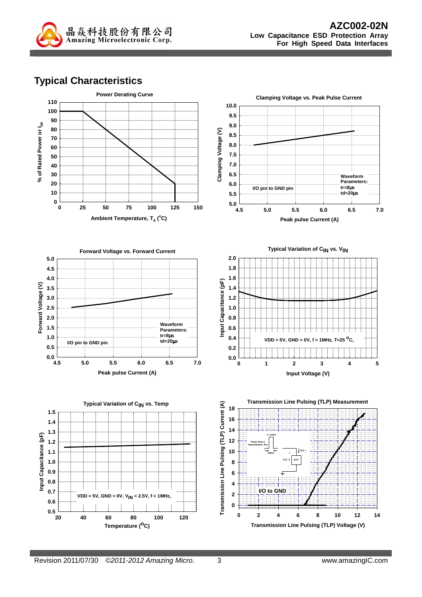

## **Typical Characteristics**

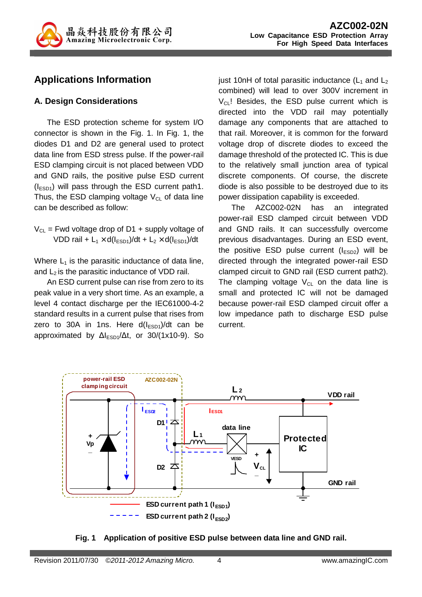

# **Applications Information**

### **A. Design Considerations**

The ESD protection scheme for system I/O connector is shown in the Fig. 1. In Fig. 1, the diodes D1 and D2 are general used to protect data line from ESD stress pulse. If the power-rail ESD clamping circuit is not placed between VDD and GND rails, the positive pulse ESD current  $(I<sub>ESD1</sub>)$  will pass through the ESD current path1. Thus, the ESD clamping voltage  $V_{CL}$  of data line can be described as follow:

 $V_{CL}$  = Fwd voltage drop of D1 + supply voltage of VDD rail +  $L_1 \times d(l_{ESD1})/dt + L_2 \times d(l_{ESD1})/dt$ 

Where  $L_1$  is the parasitic inductance of data line, and  $L_2$  is the parasitic inductance of VDD rail.

An ESD current pulse can rise from zero to its peak value in a very short time. As an example, a level 4 contact discharge per the IEC61000-4-2 standard results in a current pulse that rises from zero to 30A in 1ns. Here  $d(I<sub>ESD1</sub>)/dt$  can be approximated by  $\Delta I_{ESD1}/\Delta t$ , or 30/(1x10-9). So

just 10nH of total parasitic inductance  $(L_1$  and  $L_2$ combined) will lead to over 300V increment in  $V_{CL}$ ! Besides, the ESD pulse current which is directed into the VDD rail may potentially damage any components that are attached to that rail. Moreover, it is common for the forward voltage drop of discrete diodes to exceed the damage threshold of the protected IC. This is due to the relatively small junction area of typical discrete components. Of course, the discrete diode is also possible to be destroyed due to its power dissipation capability is exceeded.

The AZC002-02N has an integrated power-rail ESD clamped circuit between VDD and GND rails. It can successfully overcome previous disadvantages. During an ESD event, the positive ESD pulse current  $(I_{ESD2})$  will be directed through the integrated power-rail ESD clamped circuit to GND rail (ESD current path2). The clamping voltage  $V_{CL}$  on the data line is small and protected IC will not be damaged because power-rail ESD clamped circuit offer a low impedance path to discharge ESD pulse current.



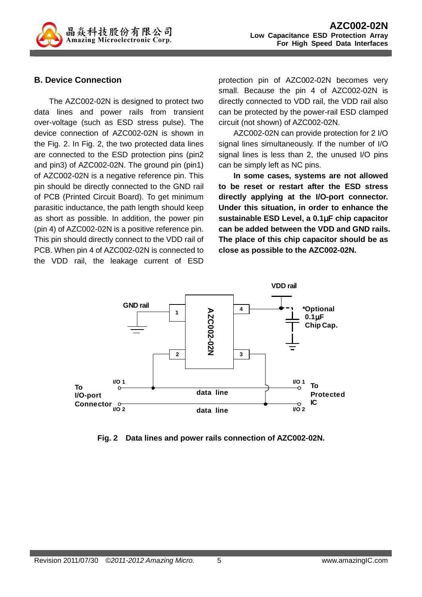

### **B. Device Connection**

The AZC002-02N is designed to protect two data lines and power rails from transient over-voltage (such as ESD stress pulse). The device connection of AZC002-02N is shown in the Fig. 2. In Fig. 2, the two protected data lines are connected to the ESD protection pins (pin2 and pin3) of AZC002-02N. The ground pin (pin1) of AZC002-02N is a negative reference pin. This pin should be directly connected to the GND rail of PCB (Printed Circuit Board). To get minimum parasitic inductance, the path length should keep as short as possible. In addition, the power pin (pin 4) of AZC002-02N is a positive reference pin. This pin should directly connect to the VDD rail of PCB. When pin 4 of AZC002-02N is connected to the VDD rail, the leakage current of ESD

protection pin of AZC002-02N becomes very small. Because the pin 4 of AZC002-02N is directly connected to VDD rail, the VDD rail also can be protected by the power-rail ESD clamped circuit (not shown) of AZC002-02N.

AZC002-02N can provide protection for 2 I/O signal lines simultaneously. If the number of I/O signal lines is less than 2, the unused I/O pins can be simply left as NC pins.

**In some cases, systems are not allowed to be reset or restart after the ESD stress directly applying at the I/O-port connector. Under this situation, in order to enhance the sustainable ESD Level, a 0.1**µ**F chip capacitor can be added between the VDD and GND rails. The place of this chip capacitor should be as close as possible to the AZC002-02N.** 



**Fig. 2 Data lines and power rails connection of AZC002-02N.**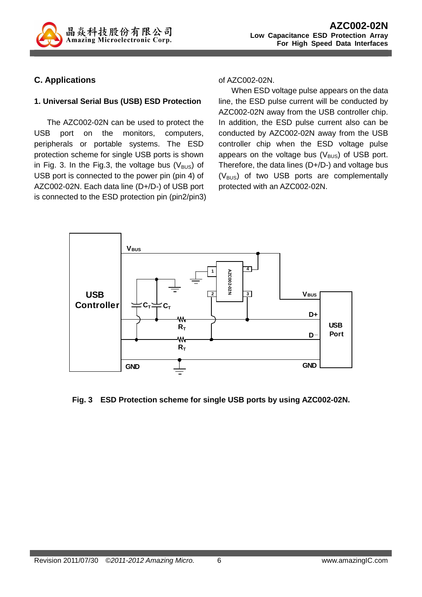

## **C. Applications**

#### **1. Universal Serial Bus (USB) ESD Protection**

The AZC002-02N can be used to protect the USB port on the monitors, computers, peripherals or portable systems. The ESD protection scheme for single USB ports is shown in Fig. 3. In the Fig.3, the voltage bus ( $V_{\text{BUS}}$ ) of USB port is connected to the power pin (pin 4) of AZC002-02N. Each data line (D+/D-) of USB port is connected to the ESD protection pin (pin2/pin3) of AZC002-02N.

When ESD voltage pulse appears on the data line, the ESD pulse current will be conducted by AZC002-02N away from the USB controller chip. In addition, the ESD pulse current also can be conducted by AZC002-02N away from the USB controller chip when the ESD voltage pulse appears on the voltage bus  $(V_{\text{BUS}})$  of USB port. Therefore, the data lines (D+/D-) and voltage bus  $(V_{BUS})$  of two USB ports are complementally protected with an AZC002-02N.



#### **Fig. 3 ESD Protection scheme for single USB ports by using AZC002-02N.**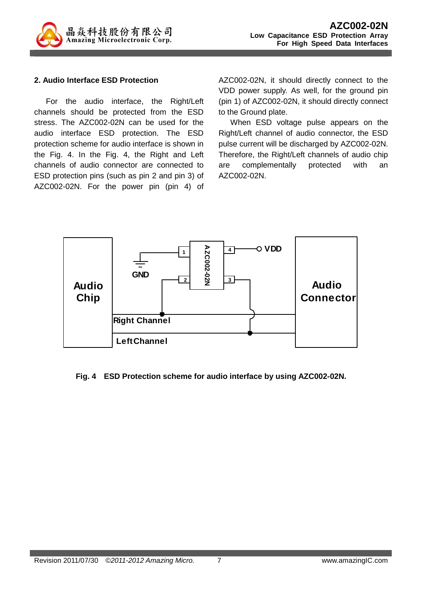

#### **2. Audio Interface ESD Protection**

For the audio interface, the Right/Left channels should be protected from the ESD stress. The AZC002-02N can be used for the audio interface ESD protection. The ESD protection scheme for audio interface is shown in the Fig. 4. In the Fig. 4, the Right and Left channels of audio connector are connected to ESD protection pins (such as pin 2 and pin 3) of AZC002-02N. For the power pin (pin 4) of

AZC002-02N, it should directly connect to the VDD power supply. As well, for the ground pin (pin 1) of AZC002-02N, it should directly connect to the Ground plate.

When ESD voltage pulse appears on the Right/Left channel of audio connector, the ESD pulse current will be discharged by AZC002-02N. Therefore, the Right/Left channels of audio chip are complementally protected with an AZC002-02N.



#### **Fig. 4 ESD Protection scheme for audio interface by using AZC002-02N.**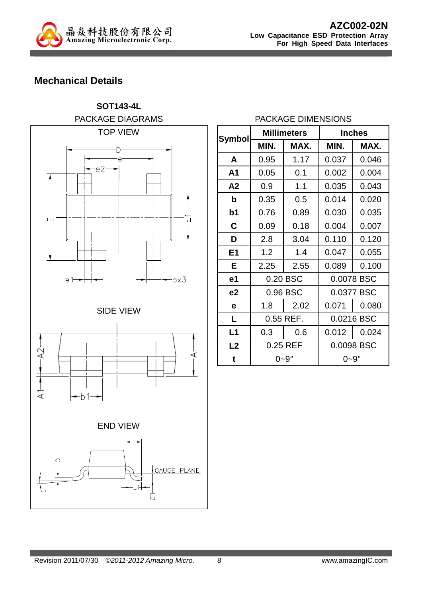

# **Mechanical Details**



### PACKAGE DIMENSIONS

| Symbol         |                      | <b>Millimeters</b> | <b>Inches</b> |       |  |
|----------------|----------------------|--------------------|---------------|-------|--|
|                | MIN.                 | MAX.               | MIN.          | MAX.  |  |
| A              | 0.95                 | 1.17               | 0.037         | 0.046 |  |
| A <sub>1</sub> | 0.05                 | 0.1                | 0.002         | 0.004 |  |
| A <sub>2</sub> | 0.9                  | 1.1<br>0.035       |               | 0.043 |  |
| b              | 0.014<br>0.35<br>0.5 |                    | 0.020         |       |  |
| b <sub>1</sub> | 0.76                 | 0.89               | 0.030         | 0.035 |  |
| С              | 0.09                 | 0.18               | 0.004         | 0.007 |  |
| D              | 2.8                  | 3.04               | 0.110         | 0.120 |  |
| E1             | 1.2                  | 1.4                | 0.047         | 0.055 |  |
| Е              | 2.25                 | 2.55               | 0.089         | 0.100 |  |
| e1             | 0.20 BSC             |                    | 0.0078 BSC    |       |  |
| e <sub>2</sub> | 0.96 BSC             |                    | 0.0377 BSC    |       |  |
| e              | 1.8                  | 2.02               | 0.071         | 0.080 |  |
| L              | 0.55 REF.            |                    | 0.0216 BSC    |       |  |
| L1             | 0.3                  | 0.6                | 0.012         | 0.024 |  |
| L <sub>2</sub> | 0.25 REF             |                    | 0.0098 BSC    |       |  |
| t              | 0~9°                 |                    | ∩~9°          |       |  |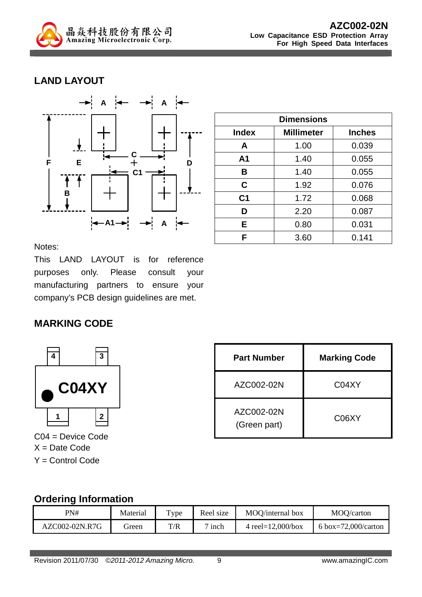

## **LAND LAYOUT**



| <b>Dimensions</b> |                   |               |  |
|-------------------|-------------------|---------------|--|
| <b>Index</b>      | <b>Millimeter</b> | <b>Inches</b> |  |
| A                 | 1.00              | 0.039         |  |
| A <sub>1</sub>    | 1.40              | 0.055         |  |
| B                 | 1.40              | 0.055         |  |
| C                 | 1.92              | 0.076         |  |
| C <sub>1</sub>    | 1.72              | 0.068         |  |
| D                 | 2.20              | 0.087         |  |
| Е                 | 0.80              | 0.031         |  |
| F                 | 3.60              | 0.141         |  |

Notes:

This LAND LAYOUT is for reference purposes only. Please consult your manufacturing partners to ensure your company's PCB design guidelines are met.

## **MARKING CODE**



C04 = Device Code  $X = Date Code$ Y = Control Code

| <b>Part Number</b>         | <b>Marking Code</b> |
|----------------------------|---------------------|
| AZC002-02N                 | C04XY               |
| AZC002-02N<br>(Green part) | C06XY               |

### **Ordering Information**

| PN#            | Material | $_{\text{Type}}$ | Reel size | MOO/internal box      | MOQ/carton          |
|----------------|----------|------------------|-----------|-----------------------|---------------------|
| AZC002-02N.R7G | ireen    | T/R              | inch      | 4 reel= $12,000/b$ ox | 6 box=72,000/carton |